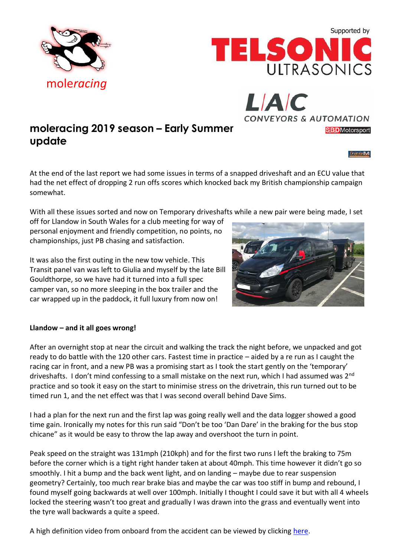mole*[racing](http://www.moleracing.com/)*



With all these issues sorted and now on Temporary driveshafts while a new pair were being made, I set

off for Llandow in South Wales for a club meeting for way of personal enjoyment and friendly competition, no points, no championships, just PB chasing and satisfaction.

It was also the first outing in the new tow vehicle. This Transit panel van was left to Giulia and myself by the late Bill Gouldthorpe, so we have had it turned into a full spec camper van, so no more sleeping in the box trailer and the car wrapped up in the paddock, it full luxury from now on!

## **Llandow – and it all goes wrong!**

After an overnight stop at near the circuit and walking the track the night before, we unpacked and got ready to do battle with the 120 other cars. Fastest time in practice – aided by a re run as I caught the racing car in front, and a new PB was a promising start as I took the start gently on the 'temporary' driveshafts. I don't mind confessing to a small mistake on the next run, which I had assumed was 2<sup>nd</sup> practice and so took it easy on the start to minimise stress on the drivetrain, this run turned out to be timed run 1, and the net effect was that I was second overall behind Dave Sims.

I had a plan for the next run and the first lap was going really well and the data logger showed a good time gain. Ironically my notes for this run said "Don't be too 'Dan Dare' in the braking for the bus stop chicane" as it would be easy to throw the lap away and overshoot the turn in point.

Peak speed on the straight was 131mph (210kph) and for the first two runs I left the braking to 75m before the corner which is a tight right hander taken at about 40mph. This time however it didn't go so smoothly. I hit a bump and the back went light, and on landing – maybe due to rear suspension geometry? Certainly, too much rear brake bias and maybe the car was too stiff in bump and rebound, I found myself going backwards at well over 100mph. Initially I thought I could save it but with all 4 wheels locked the steering wasn't too great and gradually I was drawn into the grass and eventually went into the tyre wall backwards a quite a speed.

A high definition video from onboard from the accident can be viewed by clicking [here.](https://www.youtube.com/watch?v=VZ9erGK9T8o)







**CONVEYORS & AUTOMATION** 

LIAIC

### TripleM

**SBD**Motorsport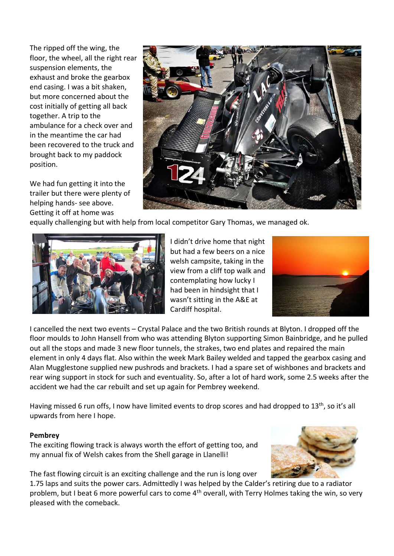The ripped off the wing, the floor, the wheel, all the right rear suspension elements, the exhaust and broke the gearbox end casing. I was a bit shaken, but more concerned about the cost initially of getting all back together. A trip to the ambulance for a check over and in the meantime the car had been recovered to the truck and brought back to my paddock position.

We had fun getting it into the trailer but there were plenty of helping hands- see above. Getting it off at home was



equally challenging but with help from local competitor Gary Thomas, we managed ok.



I didn't drive home that night but had a few beers on a nice welsh campsite, taking in the view from a cliff top walk and contemplating how lucky I had been in hindsight that I wasn't sitting in the A&E at Cardiff hospital.



I cancelled the next two events – Crystal Palace and the two British rounds at Blyton. I dropped off the floor moulds to John Hansell from who was attending Blyton supporting Simon Bainbridge, and he pulled out all the stops and made 3 new floor tunnels, the strakes, two end plates and repaired the main element in only 4 days flat. Also within the week Mark Bailey welded and tapped the gearbox casing and Alan Mugglestone supplied new pushrods and brackets. I had a spare set of wishbones and brackets and rear wing support in stock for such and eventuality. So, after a lot of hard work, some 2.5 weeks after the accident we had the car rebuilt and set up again for Pembrey weekend.

Having missed 6 run offs, I now have limited events to drop scores and had dropped to  $13<sup>th</sup>$ , so it's all upwards from here I hope.

## **Pembrey**

The exciting flowing track is always worth the effort of getting too, and my annual fix of Welsh cakes from the Shell garage in Llanelli!

The fast flowing circuit is an exciting challenge and the run is long over

1.75 laps and suits the power cars. Admittedly I was helped by the Calder's retiring due to a radiator problem, but I beat 6 more powerful cars to come 4<sup>th</sup> overall, with Terry Holmes taking the win, so very pleased with the comeback.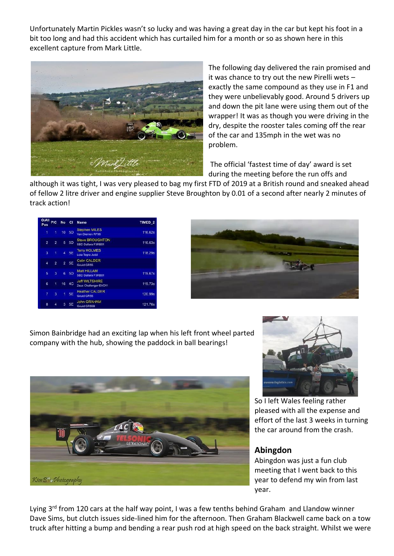Unfortunately Martin Pickles wasn't so lucky and was having a great day in the car but kept his foot in a bit too long and had this accident which has curtailed him for a month or so as shown here in this excellent capture from Mark Little.



The following day delivered the rain promised and it was chance to try out the new Pirelli wets – exactly the same compound as they use in F1 and they were unbelievably good. Around 5 drivers up and down the pit lane were using them out of the wrapper! It was as though you were driving in the dry, despite the rooster tales coming off the rear of the car and 135mph in the wet was no problem.

The official 'fastest time of day' award is set during the meeting before the run offs and

although it was tight, I was very pleased to bag my first FTD of 2019 at a British round and sneaked ahead of fellow 2 litre driver and engine supplier Steve Broughton by 0.01 of a second after nearly 2 minutes of track action!

| O/All<br>Pos   | <b>PIC</b>     | <b>No</b> | <b>CI</b>      | <b>Name</b>                                    | TIMED <sub>2</sub> |
|----------------|----------------|-----------|----------------|------------------------------------------------|--------------------|
| 1              | 1              |           | 10 5D          | <b>Stephen MILES</b><br>Van Diemen RF96        | 116.62s            |
| $\overline{2}$ | $\overline{2}$ | 5         | 5 <sub>D</sub> | <b>Steve BROUGHTON</b><br>SBD Dallara F3RB01   | 116.63s            |
| 3              | 1              | 4         | <b>5E</b>      | <b>Terry HOLMES</b><br>Lola Tegra Judd         | 118.29s            |
| 4              | $\overline{a}$ |           | 2 5E           | <b>Colin CALDER</b><br>Gould GR55              |                    |
| 5              | $\overline{3}$ | 6         | <b>5D</b>      | Matt HILLAM<br>SBD Dallara F3RB01              | 119.67s            |
| 6              | 1              |           | 16 4C          | <b>Jeff WILTSHIRE</b><br>Zeus Challenger EVO11 | 119.73s            |
| 7              | 3              | 1         | 5E             | <b>Heather CALDER</b><br>Gould GR55            | 120.99s            |
| 8              |                |           | 5E             | <b>John GRAHAM</b><br>Gould GR55B              | 121.76s            |



Simon Bainbridge had an exciting lap when his left front wheel parted company with the hub, showing the paddock in ball bearings!





So I left Wales feeling rather pleased with all the expense and effort of the last 3 weeks in turning the car around from the crash.

# **Abingdon**

Abingdon was just a fun club meeting that I went back to this year to defend my win from last year.

Lying 3<sup>rd</sup> from 120 cars at the half way point, I was a few tenths behind Graham and Llandow winner Dave Sims, but clutch issues side-lined him for the afternoon. Then Graham Blackwell came back on a tow truck after hitting a bump and bending a rear push rod at high speed on the back straight. Whilst we were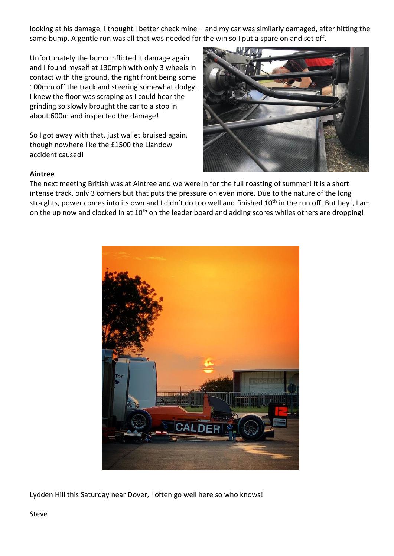looking at his damage, I thought I better check mine – and my car was similarly damaged, after hitting the same bump. A gentle run was all that was needed for the win so I put a spare on and set off.

Unfortunately the bump inflicted it damage again and I found myself at 130mph with only 3 wheels in contact with the ground, the right front being some 100mm off the track and steering somewhat dodgy. I knew the floor was scraping as I could hear the grinding so slowly brought the car to a stop in about 600m and inspected the damage!

So I got away with that, just wallet bruised again, though nowhere like the £1500 the Llandow accident caused!



## **Aintree**

The next meeting British was at Aintree and we were in for the full roasting of summer! It is a short intense track, only 3 corners but that puts the pressure on even more. Due to the nature of the long straights, power comes into its own and I didn't do too well and finished 10<sup>th</sup> in the run off. But hey!, I am on the up now and clocked in at 10<sup>th</sup> on the leader board and adding scores whiles others are dropping!



Lydden Hill this Saturday near Dover, I often go well here so who knows!

Steve